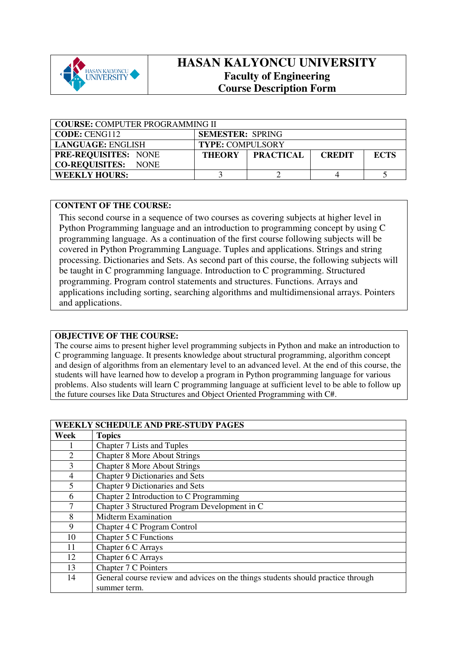

# **HASAN KALYONCU UNIVERSITY Faculty of Engineering Course Description Form**

| <b>COURSE: COMPUTER PROGRAMMING II</b> |                         |                  |               |             |  |
|----------------------------------------|-------------------------|------------------|---------------|-------------|--|
| <b>CODE: CENG112</b>                   | <b>SEMESTER: SPRING</b> |                  |               |             |  |
| LANGUAGE: ENGLISH                      | <b>TYPE: COMPULSORY</b> |                  |               |             |  |
| <b>PRE-REQUISITES: NONE</b>            | <b>THEORY</b>           | <b>PRACTICAL</b> | <b>CREDIT</b> | <b>ECTS</b> |  |
| <b>CO-REQUISITES: NONE</b>             |                         |                  |               |             |  |
| <b>WEEKLY HOURS:</b>                   |                         |                  |               |             |  |

## **CONTENT OF THE COURSE:**

This second course in a sequence of two courses as covering subjects at higher level in Python Programming language and an introduction to programming concept by using C programming language. As a continuation of the first course following subjects will be covered in Python Programming Language. Tuples and applications. Strings and string processing. Dictionaries and Sets. As second part of this course, the following subjects will be taught in C programming language. Introduction to C programming. Structured programming. Program control statements and structures. Functions. Arrays and applications including sorting, searching algorithms and multidimensional arrays. Pointers and applications.

## **OBJECTIVE OF THE COURSE:**

The course aims to present higher level programming subjects in Python and make an introduction to C programming language. It presents knowledge about structural programming, algorithm concept and design of algorithms from an elementary level to an advanced level. At the end of this course, the students will have learned how to develop a program in Python programming language for various problems. Also students will learn C programming language at sufficient level to be able to follow up the future courses like Data Structures and Object Oriented Programming with C#.

|                | <b>WEEKLY SCHEDULE AND PRE-STUDY PAGES</b>                                       |
|----------------|----------------------------------------------------------------------------------|
| Week           | <b>Topics</b>                                                                    |
|                | Chapter 7 Lists and Tuples                                                       |
| $\overline{2}$ | <b>Chapter 8 More About Strings</b>                                              |
| 3              | <b>Chapter 8 More About Strings</b>                                              |
| 4              | Chapter 9 Dictionaries and Sets                                                  |
| 5              | <b>Chapter 9 Dictionaries and Sets</b>                                           |
| 6              | Chapter 2 Introduction to C Programming                                          |
| 7              | Chapter 3 Structured Program Development in C                                    |
| 8              | <b>Midterm Examination</b>                                                       |
| 9              | Chapter 4 C Program Control                                                      |
| 10             | Chapter 5 C Functions                                                            |
| 11             | Chapter 6 C Arrays                                                               |
| 12             | Chapter 6 C Arrays                                                               |
| 13             | Chapter 7 C Pointers                                                             |
| 14             | General course review and advices on the things students should practice through |
|                | summer term.                                                                     |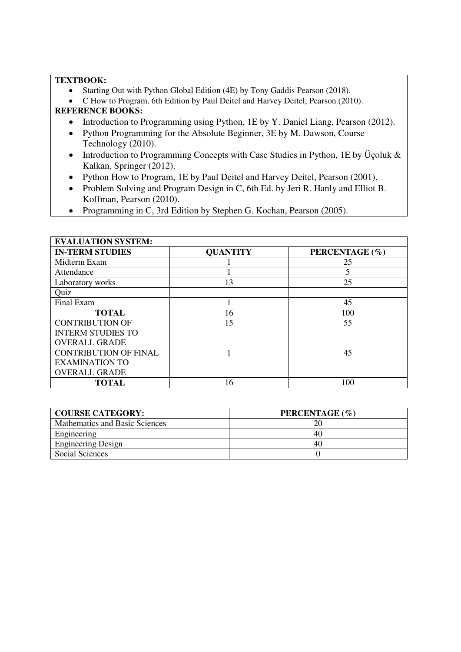### **TEXTBOOK:**

- Starting Out with Python Global Edition (4E) by Tony Gaddis Pearson (2018).
- C How to Program, 6th Edition by Paul Deitel and Harvey Deitel, Pearson (2010). **REFERENCE BOOKS:**

# • Introduction to Programming using Python, 1E by Y. Daniel Liang, Pearson (2012).

- Python Programming for the Absolute Beginner, 3E by M. Dawson, Course Technology (2010).
- Introduction to Programming Concepts with Case Studies in Python, 1E by Üçoluk & Kalkan, Springer (2012).
- Python How to Program, 1E by Paul Deitel and Harvey Deitel, Pearson (2001).
- Problem Solving and Program Design in C, 6th Ed. by Jeri R. Hanly and Elliot B. Koffman, Pearson (2010).
- Programming in C, 3rd Edition by Stephen G. Kochan, Pearson (2005).

| <b>EVALUATION SYSTEM:</b>    |                 |                |  |  |  |
|------------------------------|-----------------|----------------|--|--|--|
| <b>IN-TERM STUDIES</b>       | <b>QUANTITY</b> | PERCENTAGE (%) |  |  |  |
| Midterm Exam                 |                 | 25             |  |  |  |
| Attendance                   |                 | 5              |  |  |  |
| Laboratory works             | 13              | 25             |  |  |  |
| Quiz                         |                 |                |  |  |  |
| Final Exam                   |                 | 45             |  |  |  |
| <b>TOTAL</b>                 | 16              | 100            |  |  |  |
| <b>CONTRIBUTION OF</b>       | 15              | 55             |  |  |  |
| <b>INTERM STUDIES TO</b>     |                 |                |  |  |  |
| <b>OVERALL GRADE</b>         |                 |                |  |  |  |
| <b>CONTRIBUTION OF FINAL</b> |                 | 45             |  |  |  |
| <b>EXAMINATION TO</b>        |                 |                |  |  |  |
| <b>OVERALL GRADE</b>         |                 |                |  |  |  |
| <b>TOTAL</b>                 | 16              | 100            |  |  |  |

| <b>COURSE CATEGORY:</b>        | PERCENTAGE (%) |
|--------------------------------|----------------|
| Mathematics and Basic Sciences |                |
| Engineering                    | 40.            |
| <b>Engineering Design</b>      | 40             |
| Social Sciences                |                |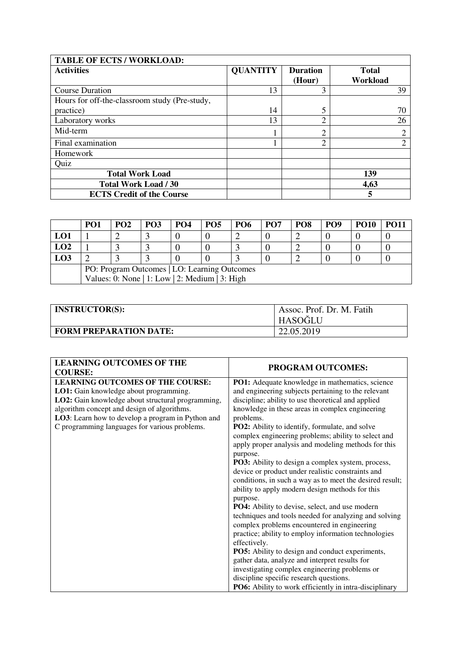| <b>TABLE OF ECTS / WORKLOAD:</b>                           |                 |                           |                          |  |  |
|------------------------------------------------------------|-----------------|---------------------------|--------------------------|--|--|
| <b>Activities</b>                                          | <b>QUANTITY</b> | <b>Duration</b><br>(Hour) | <b>Total</b><br>Workload |  |  |
| <b>Course Duration</b>                                     | 13              | 3                         | 39                       |  |  |
| Hours for off-the-classroom study (Pre-study,<br>practice) | 14              | 5                         | 70                       |  |  |
| Laboratory works                                           | 13              | $\overline{2}$            | 26                       |  |  |
| Mid-term                                                   |                 | っ                         |                          |  |  |
| Final examination                                          |                 | $\overline{c}$            | ↑                        |  |  |
| Homework                                                   |                 |                           |                          |  |  |
| Quiz                                                       |                 |                           |                          |  |  |
| <b>Total Work Load</b>                                     |                 |                           | 139                      |  |  |
| <b>Total Work Load / 30</b>                                |                 |                           | 4,63                     |  |  |
| <b>ECTS Credit of the Course</b>                           |                 |                           | 5                        |  |  |

|                                              | PO1                                            | <b>PO2</b> | PO <sub>3</sub> | <b>PO4</b> | PO <sub>5</sub> | PO <sub>6</sub> | PO <sub>7</sub> | PO <sub>8</sub> | PO <sub>9</sub> | <b>PO10</b> |  |
|----------------------------------------------|------------------------------------------------|------------|-----------------|------------|-----------------|-----------------|-----------------|-----------------|-----------------|-------------|--|
| LO1                                          |                                                |            |                 |            |                 |                 |                 |                 |                 |             |  |
| LO2                                          |                                                |            |                 |            |                 |                 |                 |                 |                 |             |  |
| LO3                                          |                                                |            |                 |            |                 |                 |                 |                 |                 |             |  |
| PO: Program Outcomes   LO: Learning Outcomes |                                                |            |                 |            |                 |                 |                 |                 |                 |             |  |
|                                              | Values: 0: None   1: Low   2: Medium   3: High |            |                 |            |                 |                 |                 |                 |                 |             |  |

| <b>INSTRUCTOR(S):</b>  | Assoc. Prof. Dr. M. Fatih<br>HASOĞLU |
|------------------------|--------------------------------------|
| FORM PREPARATION DATE: | 22.05.2019                           |

| <b>LEARNING OUTCOMES OF THE</b><br><b>COURSE:</b>                                                | <b>PROGRAM OUTCOMES:</b>                                                                                                |
|--------------------------------------------------------------------------------------------------|-------------------------------------------------------------------------------------------------------------------------|
| <b>LEARNING OUTCOMES OF THE COURSE:</b><br>LO1: Gain knowledge about programming.                | PO1: Adequate knowledge in mathematics, science<br>and engineering subjects pertaining to the relevant                  |
| LO2: Gain knowledge about structural programming,                                                | discipline; ability to use theoretical and applied                                                                      |
| algorithm concept and design of algorithms.<br>LO3: Learn how to develop a program in Python and | knowledge in these areas in complex engineering                                                                         |
| C programming languages for various problems.                                                    | problems.<br>PO2: Ability to identify, formulate, and solve                                                             |
|                                                                                                  | complex engineering problems; ability to select and<br>apply proper analysis and modeling methods for this<br>purpose.  |
|                                                                                                  | PO3: Ability to design a complex system, process,                                                                       |
|                                                                                                  | device or product under realistic constraints and                                                                       |
|                                                                                                  | conditions, in such a way as to meet the desired result;<br>ability to apply modern design methods for this<br>purpose. |
|                                                                                                  | PO4: Ability to devise, select, and use modern                                                                          |
|                                                                                                  | techniques and tools needed for analyzing and solving                                                                   |
|                                                                                                  | complex problems encountered in engineering<br>practice; ability to employ information technologies<br>effectively.     |
|                                                                                                  | PO5: Ability to design and conduct experiments,                                                                         |
|                                                                                                  | gather data, analyze and interpret results for                                                                          |
|                                                                                                  | investigating complex engineering problems or<br>discipline specific research questions.                                |
|                                                                                                  | PO6: Ability to work efficiently in intra-disciplinary                                                                  |